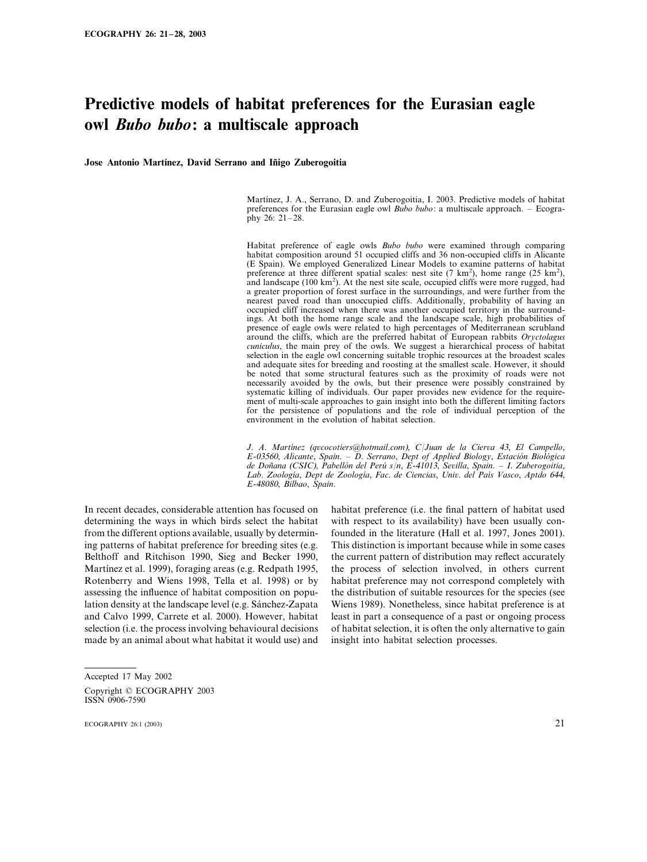# **Predictive models of habitat preferences for the Eurasian eagle owl** *Bubo bubo***: a multiscale approach**

**Jose Antonio Martínez, David Serrano and Iñigo Zuberogoitia** 

Martínez, J. A., Serrano, D. and Zuberogoitia, I. 2003. Predictive models of habitat preferences for the Eurasian eagle owl *Bubo bubo*: a multiscale approach. – Ecography  $26: 21 - 28$ .

Habitat preference of eagle owls *Bubo bubo* were examined through comparing habitat composition around 51 occupied cliffs and 36 non-occupied cliffs in Alicante (E Spain). We employed Generalized Linear Models to examine patterns of habitat preference at three different spatial scales: nest site (7 km<sup>2</sup>), home range (25 km<sup>2</sup>), and landscape (100 km<sup>2</sup> ). At the nest site scale, occupied cliffs were more rugged, had a greater proportion of forest surface in the surroundings, and were further from the nearest paved road than unoccupied cliffs. Additionally, probability of having an occupied cliff increased when there was another occupied territory in the surroundings. At both the home range scale and the landscape scale, high probabilities of presence of eagle owls were related to high percentages of Mediterranean scrubland around the cliffs, which are the preferred habitat of European rabbits *Oryctolagus cuniculus*, the main prey of the owls. We suggest a hierarchical process of habitat selection in the eagle owl concerning suitable trophic resources at the broadest scales and adequate sites for breeding and roosting at the smallest scale. However, it should be noted that some structural features such as the proximity of roads were not necessarily avoided by the owls, but their presence were possibly constrained by systematic killing of individuals. Our paper provides new evidence for the requirement of multi-scale approaches to gain insight into both the different limiting factors for the persistence of populations and the role of individual perception of the environment in the evolution of habitat selection.

*J*. *A*. *Martı´nez* (*qcocotiers@hotmail*.*com*), *C*/*Juan de la Ciera* <sup>43</sup>, *El Campello*, *E*-03560, *Alicante*, *Spain*. – *D*. *Serrano*, *Dept of Applied Biology*, *Estacio´n Biolo´gica de Don˜ana* (*CSIC*), *Pabello´n del Peru´ s*/*n*, *E*-41013, *Seilla*, *Spain*. – *I*. *Zuberogoitia*, *Lab*. *Zoologı´a*, *Dept de Zoologı´a*, *Fac*. *de Ciencias*, *Uni*. *del Paı´s Vasco*, *Aptdo* <sup>644</sup>, *E*-48080, *Bilbao*, *Spain*.

In recent decades, considerable attention has focused on determining the ways in which birds select the habitat from the different options available, usually by determining patterns of habitat preference for breeding sites (e.g. Belthoff and Ritchison 1990, Sieg and Becker 1990, Martínez et al. 1999), foraging areas (e.g. Redpath 1995, Rotenberry and Wiens 1998, Tella et al. 1998) or by assessing the influence of habitat composition on population density at the landscape level (e.g. Sánchez-Zapata and Calvo 1999, Carrete et al. 2000). However, habitat selection (i.e. the process involving behavioural decisions made by an animal about what habitat it would use) and

ECOGRAPHY 26:1 (2003) 21

habitat preference (i.e. the final pattern of habitat used with respect to its availability) have been usually confounded in the literature (Hall et al. 1997, Jones 2001). This distinction is important because while in some cases the current pattern of distribution may reflect accurately the process of selection involved, in others current habitat preference may not correspond completely with the distribution of suitable resources for the species (see Wiens 1989). Nonetheless, since habitat preference is at least in part a consequence of a past or ongoing process of habitat selection, it is often the only alternative to gain insight into habitat selection processes.

Accepted 17 May 2002 Copyright © ECOGRAPHY 2003 ISSN 0906-7590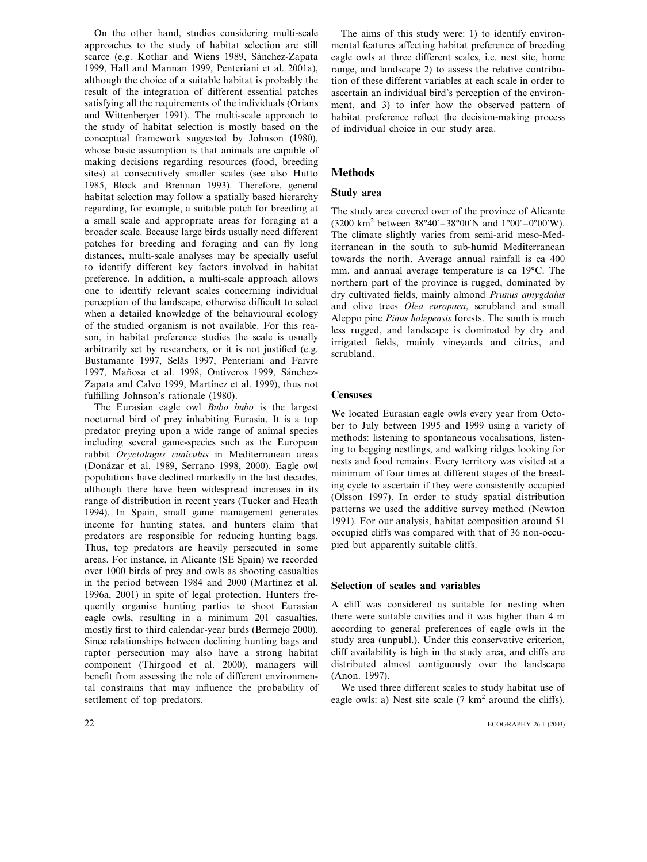On the other hand, studies considering multi-scale approaches to the study of habitat selection are still scarce (e.g. Kotliar and Wiens 1989, Sánchez-Zapata 1999, Hall and Mannan 1999, Penteriani et al. 2001a), although the choice of a suitable habitat is probably the result of the integration of different essential patches satisfying all the requirements of the individuals (Orians and Wittenberger 1991). The multi-scale approach to the study of habitat selection is mostly based on the conceptual framework suggested by Johnson (1980), whose basic assumption is that animals are capable of making decisions regarding resources (food, breeding sites) at consecutively smaller scales (see also Hutto 1985, Block and Brennan 1993). Therefore, general habitat selection may follow a spatially based hierarchy regarding, for example, a suitable patch for breeding at a small scale and appropriate areas for foraging at a broader scale. Because large birds usually need different patches for breeding and foraging and can fly long distances, multi-scale analyses may be specially useful to identify different key factors involved in habitat preference. In addition, a multi-scale approach allows one to identify relevant scales concerning individual perception of the landscape, otherwise difficult to select when a detailed knowledge of the behavioural ecology of the studied organism is not available. For this reason, in habitat preference studies the scale is usually arbitrarily set by researchers, or it is not justified (e.g. Bustamante 1997, Selås 1997, Penteriani and Faivre 1997, Mañosa et al. 1998, Ontiveros 1999, Sánchez-Zapata and Calvo 1999, Martínez et al. 1999), thus not fulfilling Johnson's rationale (1980).

The Eurasian eagle owl *Bubo bubo* is the largest nocturnal bird of prey inhabiting Eurasia. It is a top predator preying upon a wide range of animal species including several game-species such as the European rabbit *Oryctolagus cuniculus* in Mediterranean areas (Dona´zar et al. 1989, Serrano 1998, 2000). Eagle owl populations have declined markedly in the last decades, although there have been widespread increases in its range of distribution in recent years (Tucker and Heath 1994). In Spain, small game management generates income for hunting states, and hunters claim that predators are responsible for reducing hunting bags. Thus, top predators are heavily persecuted in some areas. For instance, in Alicante (SE Spain) we recorded over 1000 birds of prey and owls as shooting casualties in the period between 1984 and 2000 (Martínez et al. 1996a, 2001) in spite of legal protection. Hunters frequently organise hunting parties to shoot Eurasian eagle owls, resulting in a minimum 201 casualties, mostly first to third calendar-year birds (Bermejo 2000). Since relationships between declining hunting bags and raptor persecution may also have a strong habitat component (Thirgood et al. 2000), managers will benefit from assessing the role of different environmental constrains that may influence the probability of settlement of top predators.

The aims of this study were: 1) to identify environmental features affecting habitat preference of breeding eagle owls at three different scales, i.e. nest site, home range, and landscape 2) to assess the relative contribution of these different variables at each scale in order to ascertain an individual bird's perception of the environment, and 3) to infer how the observed pattern of habitat preference reflect the decision-making process of individual choice in our study area.

## **Methods**

## **Study area**

The study area covered over of the province of Alicante  $(3200 \text{ km}^2 \text{ between } 38^{\circ}40' - 38^{\circ}00' \text{N} \text{ and } 1^{\circ}00' - 0^{\circ}00' \text{W}).$ The climate slightly varies from semi-arid meso-Mediterranean in the south to sub-humid Mediterranean towards the north. Average annual rainfall is ca 400 mm, and annual average temperature is ca 19°C. The northern part of the province is rugged, dominated by dry cultivated fields, mainly almond *Prunus amygdalus* and olive trees *Olea europaea*, scrubland and small Aleppo pine *Pinus halepensis* forests. The south is much less rugged, and landscape is dominated by dry and irrigated fields, mainly vineyards and citrics, and scrubland.

## **Censuses**

We located Eurasian eagle owls every year from October to July between 1995 and 1999 using a variety of methods: listening to spontaneous vocalisations, listening to begging nestlings, and walking ridges looking for nests and food remains. Every territory was visited at a minimum of four times at different stages of the breeding cycle to ascertain if they were consistently occupied (Olsson 1997). In order to study spatial distribution patterns we used the additive survey method (Newton 1991). For our analysis, habitat composition around 51 occupied cliffs was compared with that of 36 non-occupied but apparently suitable cliffs.

## **Selection of scales and variables**

A cliff was considered as suitable for nesting when there were suitable cavities and it was higher than 4 m according to general preferences of eagle owls in the study area (unpubl.). Under this conservative criterion, cliff availability is high in the study area, and cliffs are distributed almost contiguously over the landscape (Anon. 1997).

We used three different scales to study habitat use of eagle owls: a) Nest site scale  $(7 \text{ km}^2 \text{ around the cliffs}).$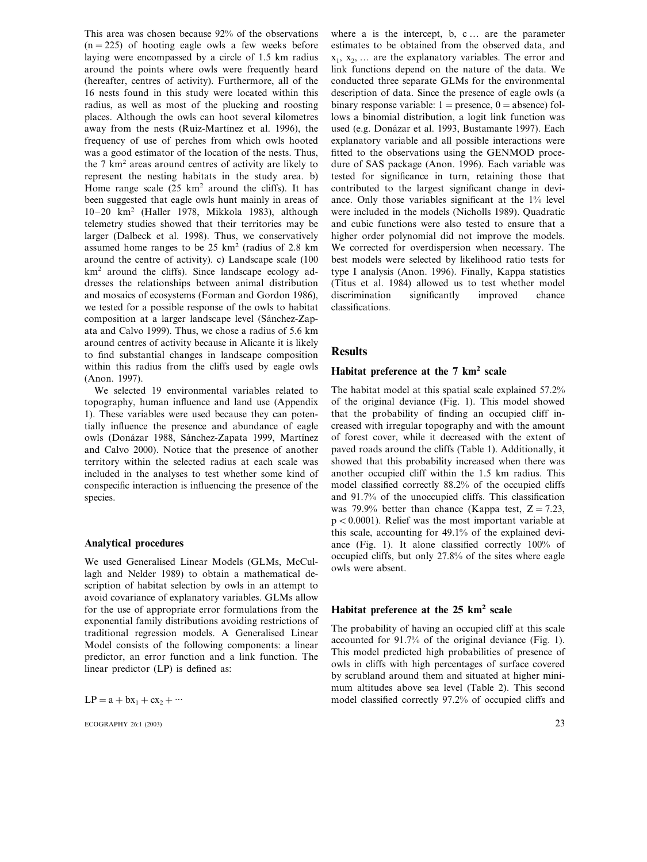This area was chosen because 92% of the observations  $(n=225)$  of hooting eagle owls a few weeks before laying were encompassed by a circle of 1.5 km radius around the points where owls were frequently heard (hereafter, centres of activity). Furthermore, all of the 16 nests found in this study were located within this radius, as well as most of the plucking and roosting places. Although the owls can hoot several kilometres away from the nests (Ruiz-Martínez et al. 1996), the frequency of use of perches from which owls hooted was a good estimator of the location of the nests. Thus, the 7 km2 areas around centres of activity are likely to represent the nesting habitats in the study area. b) Home range scale  $(25 \text{ km}^2 \text{ around the cliffs})$ . It has been suggested that eagle owls hunt mainly in areas of 10–20 km2 (Haller 1978, Mikkola 1983), although telemetry studies showed that their territories may be larger (Dalbeck et al. 1998). Thus, we conservatively assumed home ranges to be  $25 \text{ km}^2$  (radius of 2.8 km) around the centre of activity). c) Landscape scale (100 km2 around the cliffs). Since landscape ecology addresses the relationships between animal distribution and mosaics of ecosystems (Forman and Gordon 1986), we tested for a possible response of the owls to habitat composition at a larger landscape level (Sánchez-Zapata and Calvo 1999). Thus, we chose a radius of 5.6 km around centres of activity because in Alicante it is likely to find substantial changes in landscape composition within this radius from the cliffs used by eagle owls (Anon. 1997).

We selected 19 environmental variables related to topography, human influence and land use (Appendix 1). These variables were used because they can potentially influence the presence and abundance of eagle owls (Donázar 1988, Sánchez-Zapata 1999, Martínez and Calvo 2000). Notice that the presence of another territory within the selected radius at each scale was included in the analyses to test whether some kind of conspecific interaction is influencing the presence of the species.

## **Analytical procedures**

We used Generalised Linear Models (GLMs, McCullagh and Nelder 1989) to obtain a mathematical description of habitat selection by owls in an attempt to avoid covariance of explanatory variables. GLMs allow for the use of appropriate error formulations from the exponential family distributions avoiding restrictions of traditional regression models. A Generalised Linear Model consists of the following components: a linear predictor, an error function and a link function. The linear predictor (LP) is defined as:

 $LP = a + bx_1 + cx_2 + \cdots$ 

 $ECOGRAPHY 26:1 (2003)$  23

where a is the intercept, b, c ... are the parameter estimates to be obtained from the observed data, and  $x_1, x_2, \ldots$  are the explanatory variables. The error and link functions depend on the nature of the data. We conducted three separate GLMs for the environmental description of data. Since the presence of eagle owls (a binary response variable:  $1 =$ presence,  $0 =$ absence) follows a binomial distribution, a logit link function was used (e.g. Donázar et al. 1993, Bustamante 1997). Each explanatory variable and all possible interactions were fitted to the observations using the GENMOD procedure of SAS package (Anon. 1996). Each variable was tested for significance in turn, retaining those that contributed to the largest significant change in deviance. Only those variables significant at the 1% level were included in the models (Nicholls 1989). Quadratic and cubic functions were also tested to ensure that a higher order polynomial did not improve the models. We corrected for overdispersion when necessary. The best models were selected by likelihood ratio tests for type I analysis (Anon. 1996). Finally, Kappa statistics (Titus et al. 1984) allowed us to test whether model discrimination significantly improved chance classifications.

#### **Results**

## **Habitat preference at the 7 km2 scale**

The habitat model at this spatial scale explained 57.2% of the original deviance (Fig. 1). This model showed that the probability of finding an occupied cliff increased with irregular topography and with the amount of forest cover, while it decreased with the extent of paved roads around the cliffs (Table 1). Additionally, it showed that this probability increased when there was another occupied cliff within the 1.5 km radius. This model classified correctly 88.2% of the occupied cliffs and 91.7% of the unoccupied cliffs. This classification was 79.9% better than chance (Kappa test,  $Z = 7.23$ ,  $p < 0.0001$ ). Relief was the most important variable at this scale, accounting for 49.1% of the explained deviance (Fig. 1). It alone classified correctly 100% of occupied cliffs, but only 27.8% of the sites where eagle owls were absent.

#### **Habitat preference at the 25 km2 scale**

The probability of having an occupied cliff at this scale accounted for 91.7% of the original deviance (Fig. 1). This model predicted high probabilities of presence of owls in cliffs with high percentages of surface covered by scrubland around them and situated at higher minimum altitudes above sea level (Table 2). This second model classified correctly 97.2% of occupied cliffs and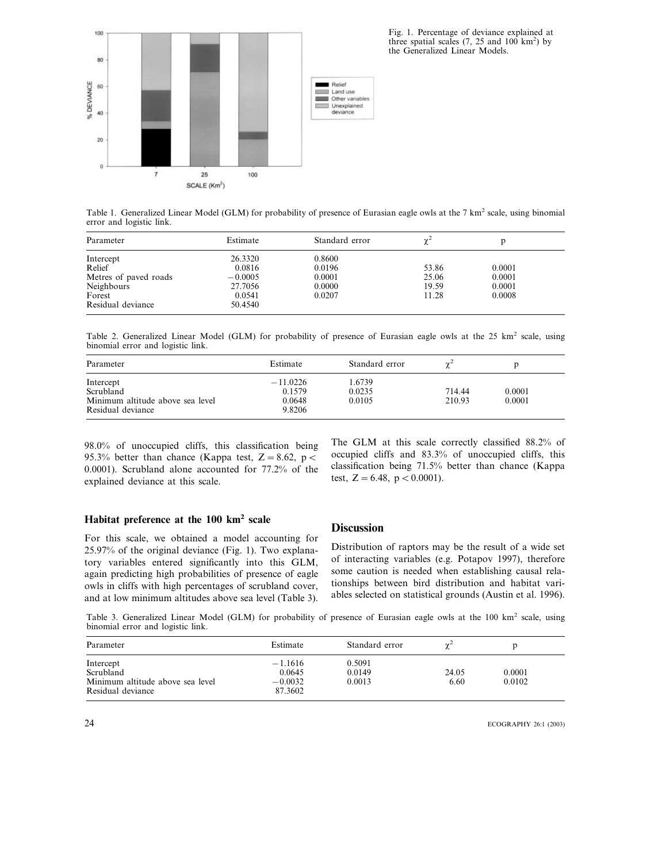

Fig. 1. Percentage of deviance explained at three spatial scales  $(7, 25 \text{ and } 100 \text{ km}^2)$  by the Generalized Linear Models.

Table 1. Generalized Linear Model (GLM) for probability of presence of Eurasian eagle owls at the 7 km<sup>2</sup> scale, using binomial error and logistic link.

| Parameter             | Estimate  | Standard error | χ÷    |        |  |
|-----------------------|-----------|----------------|-------|--------|--|
| Intercept             | 26.3320   | 0.8600         |       |        |  |
| Relief                | 0.0816    | 0.0196         | 53.86 | 0.0001 |  |
| Metres of paved roads | $-0.0005$ | 0.0001         | 25.06 | 0.0001 |  |
| Neighbours            | 27.7056   | 0.0000         | 19.59 | 0.0001 |  |
| Forest                | 0.0541    | 0.0207         | 11.28 | 0.0008 |  |
| Residual deviance     | 50.4540   |                |       |        |  |

Table 2. Generalized Linear Model (GLM) for probability of presence of Eurasian eagle owls at the 25 km<sup>2</sup> scale, using binomial error and logistic link.

| Parameter                                                                       | Estimate                                 | Standard error             |                  |                  |  |
|---------------------------------------------------------------------------------|------------------------------------------|----------------------------|------------------|------------------|--|
| Intercept<br>Scrubland<br>Minimum altitude above sea level<br>Residual deviance | $-11.0226$<br>0.1579<br>0.0648<br>9.8206 | 1.6739<br>0.0235<br>0.0105 | 714.44<br>210.93 | 0.0001<br>0.0001 |  |

98.0% of unoccupied cliffs, this classification being 95.3% better than chance (Kappa test,  $Z = 8.62$ ,  $p <$ 0.0001). Scrubland alone accounted for 77.2% of the explained deviance at this scale.

The GLM at this scale correctly classified 88.2% of occupied cliffs and 83.3% of unoccupied cliffs, this classification being 71.5% better than chance (Kappa test,  $Z = 6.48$ ,  $p < 0.0001$ ).

## **Habitat preference at the 100 km2 scale**

For this scale, we obtained a model accounting for 25.97% of the original deviance (Fig. 1). Two explanatory variables entered significantly into this GLM, again predicting high probabilities of presence of eagle owls in cliffs with high percentages of scrubland cover, and at low minimum altitudes above sea level (Table 3).

#### **Discussion**

Distribution of raptors may be the result of a wide set of interacting variables (e.g. Potapov 1997), therefore some caution is needed when establishing causal relationships between bird distribution and habitat variables selected on statistical grounds (Austin et al. 1996).

Table 3. Generalized Linear Model (GLM) for probability of presence of Eurasian eagle owls at the 100 km<sup>2</sup> scale, using binomial error and logistic link.

| Parameter                                                                       | Estimate                                    | Standard error             | $\sim$        |                  |  |
|---------------------------------------------------------------------------------|---------------------------------------------|----------------------------|---------------|------------------|--|
| Intercept<br>Scrubland<br>Minimum altitude above sea level<br>Residual deviance | $-1.1616$<br>0.0645<br>$-0.0032$<br>87.3602 | 0.5091<br>0.0149<br>0.0013 | 24.05<br>6.60 | 0.0001<br>0.0102 |  |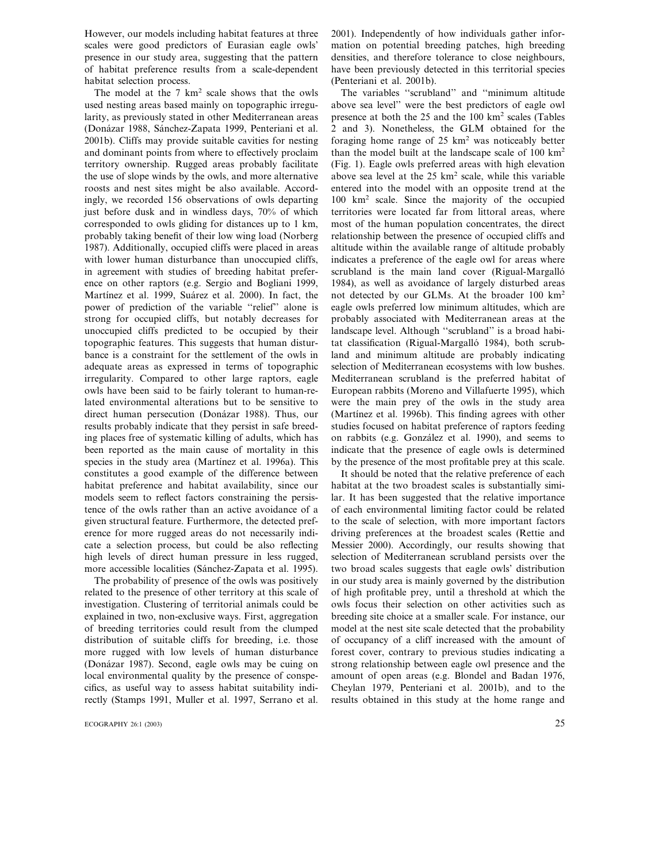However, our models including habitat features at three scales were good predictors of Eurasian eagle owls' presence in our study area, suggesting that the pattern of habitat preference results from a scale-dependent habitat selection process.

The model at the 7 km<sup>2</sup> scale shows that the owls used nesting areas based mainly on topographic irregularity, as previously stated in other Mediterranean areas (Donázar 1988, Sánchez-Zapata 1999, Penteriani et al. 2001b). Cliffs may provide suitable cavities for nesting and dominant points from where to effectively proclaim territory ownership. Rugged areas probably facilitate the use of slope winds by the owls, and more alternative roosts and nest sites might be also available. Accordingly, we recorded 156 observations of owls departing just before dusk and in windless days, 70% of which corresponded to owls gliding for distances up to 1 km, probably taking benefit of their low wing load (Norberg 1987). Additionally, occupied cliffs were placed in areas with lower human disturbance than unoccupied cliffs, in agreement with studies of breeding habitat preference on other raptors (e.g. Sergio and Bogliani 1999, Martínez et al. 1999, Suárez et al. 2000). In fact, the power of prediction of the variable ''relief'' alone is strong for occupied cliffs, but notably decreases for unoccupied cliffs predicted to be occupied by their topographic features. This suggests that human disturbance is a constraint for the settlement of the owls in adequate areas as expressed in terms of topographic irregularity. Compared to other large raptors, eagle owls have been said to be fairly tolerant to human-related environmental alterations but to be sensitive to direct human persecution (Donázar 1988). Thus, our results probably indicate that they persist in safe breeding places free of systematic killing of adults, which has been reported as the main cause of mortality in this species in the study area (Martínez et al. 1996a). This constitutes a good example of the difference between habitat preference and habitat availability, since our models seem to reflect factors constraining the persistence of the owls rather than an active avoidance of a given structural feature. Furthermore, the detected preference for more rugged areas do not necessarily indicate a selection process, but could be also reflecting high levels of direct human pressure in less rugged, more accessible localities (Sánchez-Zapata et al. 1995).

The probability of presence of the owls was positively related to the presence of other territory at this scale of investigation. Clustering of territorial animals could be explained in two, non-exclusive ways. First, aggregation of breeding territories could result from the clumped distribution of suitable cliffs for breeding, i.e. those more rugged with low levels of human disturbance (Donázar 1987). Second, eagle owls may be cuing on local environmental quality by the presence of conspecifics, as useful way to assess habitat suitability indirectly (Stamps 1991, Muller et al. 1997, Serrano et al.

2001). Independently of how individuals gather information on potential breeding patches, high breeding densities, and therefore tolerance to close neighbours, have been previously detected in this territorial species (Penteriani et al. 2001b).

The variables ''scrubland'' and ''minimum altitude above sea level'' were the best predictors of eagle owl presence at both the 25 and the 100 km<sup>2</sup> scales (Tables 2 and 3). Nonetheless, the GLM obtained for the foraging home range of 25 km<sup>2</sup> was noticeably better than the model built at the landscape scale of 100 km<sup>2</sup> (Fig. 1). Eagle owls preferred areas with high elevation above sea level at the 25 km<sup>2</sup> scale, while this variable entered into the model with an opposite trend at the 100 km<sup>2</sup> scale. Since the majority of the occupied territories were located far from littoral areas, where most of the human population concentrates, the direct relationship between the presence of occupied cliffs and altitude within the available range of altitude probably indicates a preference of the eagle owl for areas where scrubland is the main land cover (Rigual-Margalló 1984), as well as avoidance of largely disturbed areas not detected by our GLMs. At the broader 100 km<sup>2</sup> eagle owls preferred low minimum altitudes, which are probably associated with Mediterranean areas at the landscape level. Although ''scrubland'' is a broad habitat classification (Rigual-Margalló 1984), both scrubland and minimum altitude are probably indicating selection of Mediterranean ecosystems with low bushes. Mediterranean scrubland is the preferred habitat of European rabbits (Moreno and Villafuerte 1995), which were the main prey of the owls in the study area (Martínez et al. 1996b). This finding agrees with other studies focused on habitat preference of raptors feeding on rabbits (e.g. González et al. 1990), and seems to indicate that the presence of eagle owls is determined by the presence of the most profitable prey at this scale.

It should be noted that the relative preference of each habitat at the two broadest scales is substantially similar. It has been suggested that the relative importance of each environmental limiting factor could be related to the scale of selection, with more important factors driving preferences at the broadest scales (Rettie and Messier 2000). Accordingly, our results showing that selection of Mediterranean scrubland persists over the two broad scales suggests that eagle owls' distribution in our study area is mainly governed by the distribution of high profitable prey, until a threshold at which the owls focus their selection on other activities such as breeding site choice at a smaller scale. For instance, our model at the nest site scale detected that the probability of occupancy of a cliff increased with the amount of forest cover, contrary to previous studies indicating a strong relationship between eagle owl presence and the amount of open areas (e.g. Blondel and Badan 1976, Cheylan 1979, Penteriani et al. 2001b), and to the results obtained in this study at the home range and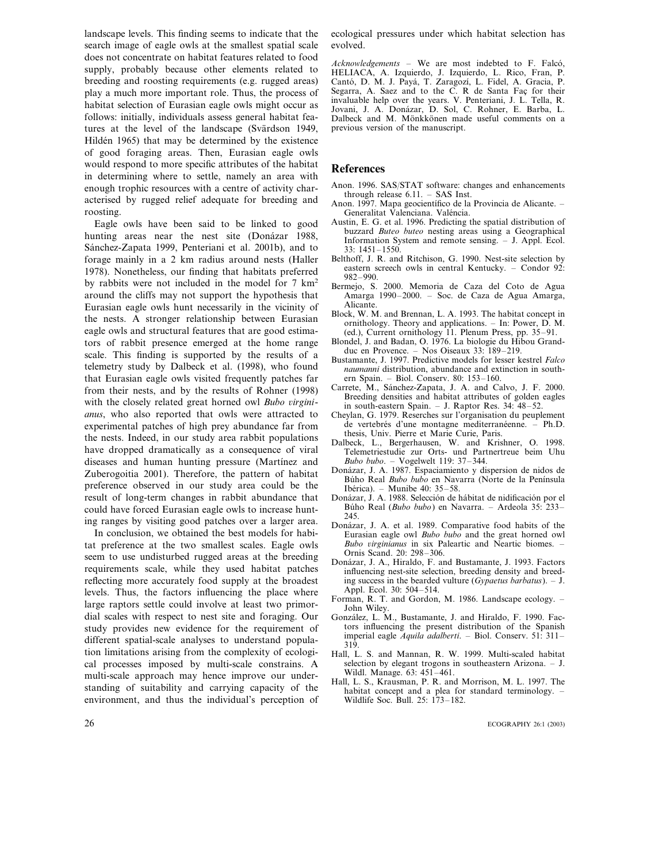landscape levels. This finding seems to indicate that the search image of eagle owls at the smallest spatial scale does not concentrate on habitat features related to food supply, probably because other elements related to breeding and roosting requirements (e.g. rugged areas) play a much more important role. Thus, the process of habitat selection of Eurasian eagle owls might occur as follows: initially, individuals assess general habitat features at the level of the landscape (Svärdson 1949, Hildén 1965) that may be determined by the existence of good foraging areas. Then, Eurasian eagle owls would respond to more specific attributes of the habitat in determining where to settle, namely an area with enough trophic resources with a centre of activity characterised by rugged relief adequate for breeding and roosting.

Eagle owls have been said to be linked to good hunting areas near the nest site (Donázar 1988, Sánchez-Zapata 1999, Penteriani et al. 2001b), and to forage mainly in a 2 km radius around nests (Haller 1978). Nonetheless, our finding that habitats preferred by rabbits were not included in the model for 7 km<sup>2</sup> around the cliffs may not support the hypothesis that Eurasian eagle owls hunt necessarily in the vicinity of the nests. A stronger relationship between Eurasian eagle owls and structural features that are good estimators of rabbit presence emerged at the home range scale. This finding is supported by the results of a telemetry study by Dalbeck et al. (1998), who found that Eurasian eagle owls visited frequently patches far from their nests, and by the results of Rohner (1998) with the closely related great horned owl *Bubo virginianus*, who also reported that owls were attracted to experimental patches of high prey abundance far from the nests. Indeed, in our study area rabbit populations have dropped dramatically as a consequence of viral diseases and human hunting pressure (Martínez and Zuberogoitia 2001). Therefore, the pattern of habitat preference observed in our study area could be the result of long-term changes in rabbit abundance that could have forced Eurasian eagle owls to increase hunting ranges by visiting good patches over a larger area.

In conclusion, we obtained the best models for habitat preference at the two smallest scales. Eagle owls seem to use undisturbed rugged areas at the breeding requirements scale, while they used habitat patches reflecting more accurately food supply at the broadest levels. Thus, the factors influencing the place where large raptors settle could involve at least two primordial scales with respect to nest site and foraging. Our study provides new evidence for the requirement of different spatial-scale analyses to understand population limitations arising from the complexity of ecological processes imposed by multi-scale constrains. A multi-scale approach may hence improve our understanding of suitability and carrying capacity of the environment, and thus the individual's perception of

ecological pressures under which habitat selection has evolved.

*Acknowledgements* – We are most indebted to F. Falco´, HELIACA, A. Izquierdo, J. Izquierdo, L. Rico, Fran, P. Cantó, D. M. J. Payá, T. Zaragozí, L. Fidel, A. Gracia, P. Segarra, A. Saez and to the C. R de Santa Faç for their invaluable help over the years. V. Penteriani, J. L. Tella, R. Jovani, J. A. Donázar, D. Sol, C. Rohner, E. Barba, L. Dalbeck and M. Mönkkönen made useful comments on a previous version of the manuscript.

## **References**

- Anon. 1996. SAS/STAT software: changes and enhancements through release 6.11. – SAS Inst.
- Anon. 1997. Mapa geocientífico de la Provincia de Alicante. -Generalitat Valenciana. Valéncia.
- Austin, E. G. et al. 1996. Predicting the spatial distribution of buzzard *Buteo buteo* nesting areas using a Geographical Information System and remote sensing. – J. Appl. Ecol. 33: 1451–1550.
- Belthoff, J. R. and Ritchison, G. 1990. Nest-site selection by eastern screech owls in central Kentucky. – Condor 92: 982–990.
- Bermejo, S. 2000. Memoria de Caza del Coto de Agua Amarga 1990–2000. – Soc. de Caza de Agua Amarga, Alicante.
- Block, W. M. and Brennan, L. A. 1993. The habitat concept in ornithology. Theory and applications. – In: Power, D. M. (ed.), Current ornithology 11. Plenum Press, pp. 35–91.
- Blondel, J. and Badan, O. 1976. La biologie du Hibou Grandduc en Provence. – Nos Oiseaux 33: 189–219.
- Bustamante, J. 1997. Predictive models for lesser kestrel *Falco naumanni* distribution, abundance and extinction in southern Spain. – Biol. Conserv. 80: 153–160.
- Carrete, M., Sánchez-Zapata, J. A. and Calvo, J. F. 2000. Breeding densities and habitat attributes of golden eagles in south-eastern Spain. – J. Raptor Res. 34: 48–52.
- Cheylan, G. 1979. Reserches sur l'organisation du peuplement de vertebrés d'une montagne mediterranéenne. – Ph.D. thesis, Univ. Pierre et Marie Curie, Paris.
- Dalbeck, L., Bergerhausen, W. and Krishner, O. 1998. Telemetriestudie zur Orts- und Partnertreue beim Uhu *Bubo bubo*. – Vogelwelt 119: 37–344.
- Dona´zar, J. A. 1987. Espaciamiento y dispersion de nidos de Búho Real *Bubo bubo* en Navarra (Norte de la Península Ibérica). – Munibe 40: 35–58.
- Donázar, J. A. 1988. Selección de hábitat de nidificación por el Bu´ho Real (*Bubo bubo*) en Navarra. – Ardeola 35: 233– 245.
- Dona´zar, J. A. et al. 1989. Comparative food habits of the Eurasian eagle owl *Bubo bubo* and the great horned owl *Bubo irginianus* in six Paleartic and Neartic biomes. – Ornis Scand. 20: 298–306.
- Donázar, J. A., Hiraldo, F. and Bustamante, J. 1993. Factors influencing nest-site selection, breeding density and breeding success in the bearded vulture (*Gypaetus barbatus*). – J. Appl. Ecol. 30: 504–514.
- Forman, R. T. and Gordon, M. 1986. Landscape ecology. John Wiley.
- González, L. M., Bustamante, J. and Hiraldo, F. 1990. Factors influencing the present distribution of the Spanish imperial eagle *Aquila adalberti*. – Biol. Conserv. 51: 311– 319.
- Hall, L. S. and Mannan, R. W. 1999. Multi-scaled habitat selection by elegant trogons in southeastern Arizona. – J. Wildl. Manage. 63: 451–461.
- Hall, L. S., Krausman, P. R. and Morrison, M. L. 1997. The habitat concept and a plea for standard terminology. – Wildlife Soc. Bull. 25: 173–182.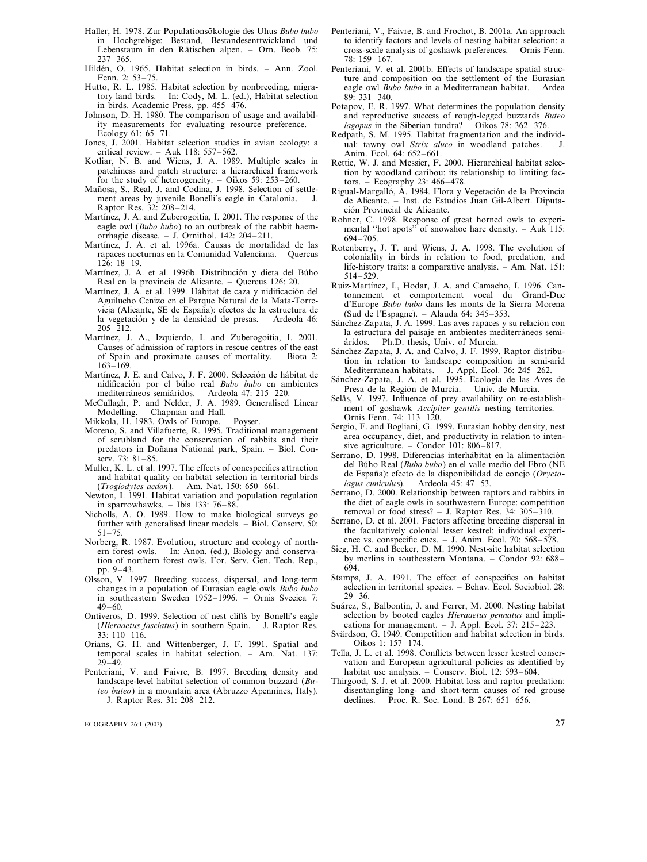- Haller, H. 1978. Zur Populationsökologie des Uhus *Bubo bubo* in Hochgrebige: Bestand, Bestandesenttwickland und Lebenstaum in den Rätischen alpen. – Orn. Beob. 75: 237–365.
- Hildén, O. 1965. Habitat selection in birds. Ann. Zool. Fenn. 2: 53–75.
- Hutto, R. L. 1985. Habitat selection by nonbreeding, migratory land birds. – In: Cody, M. L. (ed.), Habitat selection in birds. Academic Press, pp. 455–476.
- Johnson, D. H. 1980. The comparison of usage and availability measurements for evaluating resource preference. Ecology 61: 65–71.
- Jones, J. 2001. Habitat selection studies in avian ecology: a critical review. – Auk 118: 557–562.
- Kotliar, N. B. and Wiens, J. A. 1989. Multiple scales in patchiness and patch structure: a hierarchical framework for the study of heterogeneity. – Oikos 59: 253–260.
- Mañosa, S., Real, J. and Codina, J. 1998. Selection of settlement areas by juvenile Bonelli's eagle in Catalonia. – J. Raptor Res. 32: 208–214.
- Martínez, J. A. and Zuberogoitia, I. 2001. The response of the eagle owl (*Bubo bubo*) to an outbreak of the rabbit haemorrhagic disease. – J. Ornithol. 142: 204–211.
- Martínez, J. A. et al. 1996a. Causas de mortalidad de las rapaces nocturnas en la Comunidad Valenciana. – Quercus 126: 18–19.
- Martínez, J. A. et al. 1996b. Distribución y dieta del Búho Real en la provincia de Alicante. – Quercus 126: 20.
- Martínez, J. A. et al. 1999. Hábitat de caza y nidificación del Aguilucho Cenizo en el Parque Natural de la Mata-Torrevieja (Alicante, SE de España): efectos de la estructura de la vegetación y de la densidad de presas. - Ardeola 46: 205–212.
- Martínez, J. A., Izquierdo, I. and Zuberogoitia, I. 2001. Causes of admission of raptors in rescue centres of the east of Spain and proximate causes of mortality. – Biota 2: 163–169.
- Martínez, J. E. and Calvo, J. F. 2000. Selección de hábitat de nidificacio´n por el bu´ho real *Bubo bubo* en ambientes mediterráneos semiáridos. – Ardeola 47: 215–220.
- McCullagh, P. and Nelder, J. A. 1989. Generalised Linear Modelling. – Chapman and Hall.
- Mikkola, H. 1983. Owls of Europe. Poyser.
- Moreno, S. and Villafuerte, R. 1995. Traditional management of scrubland for the conservation of rabbits and their predators in Doñana National park, Spain. - Biol. Conserv. 73: 81–85.
- Muller, K. L. et al. 1997. The effects of conespecifics attraction and habitat quality on habitat selection in territorial birds (*Troglodytes aedon*). – Am. Nat. 150: 650–661.
- Newton, I. 1991. Habitat variation and population regulation in sparrowhawks. – Ibis 133: 76–88.
- Nicholls, A. O. 1989. How to make biological surveys go further with generalised linear models. – Biol. Conserv. 50: 51–75.
- Norberg, R. 1987. Evolution, structure and ecology of northern forest owls. – In: Anon. (ed.), Biology and conservation of northern forest owls. For. Serv. Gen. Tech. Rep., pp. 9–43.
- Olsson, V. 1997. Breeding success, dispersal, and long-term changes in a population of Eurasian eagle owls *Bubo bubo* in southeastern Sweden 1952–1996. – Ornis Svecica 7:  $49-60.$
- Ontiveros, D. 1999. Selection of nest cliffs by Bonelli's eagle (*Hieraaetus fasciatus*) in southern Spain. – J. Raptor Res. 33: 110–116.
- Orians, G. H. and Wittenberger, J. F. 1991. Spatial and temporal scales in habitat selection. – Am. Nat. 137: 29–49.
- Penteriani, V. and Faivre, B. 1997. Breeding density and landscape-level habitat selection of common buzzard (*Buteo buteo*) in a mountain area (Abruzzo Apennines, Italy). – J. Raptor Res. 31: 208–212.

 $ECOGRAPHY 26:1 (2003)$  27

- Penteriani, V., Faivre, B. and Frochot, B. 2001a. An approach to identify factors and levels of nesting habitat selection: a cross-scale analysis of goshawk preferences. – Ornis Fenn. 78: 159–167.
- Penteriani, V. et al. 2001b. Effects of landscape spatial structure and composition on the settlement of the Eurasian eagle owl *Bubo bubo* in a Mediterranean habitat. – Ardea 89: 331–340.
- Potapov, E. R. 1997. What determines the population density and reproductive success of rough-legged buzzards *Buteo lagopus* in the Siberian tundra? – Oikos 78: 362–376.
- Redpath, S. M. 1995. Habitat fragmentation and the individual: tawny owl *Strix aluco* in woodland patches. – J. Anim. Ecol. 64: 652–661.
- Rettie, W. J. and Messier, F. 2000. Hierarchical habitat selection by woodland caribou: its relationship to limiting factors. – Ecography 23: 466–478.
- Rigual-Margalló, A. 1984. Flora y Vegetación de la Provincia de Alicante. – Inst. de Estudios Juan Gil-Albert. Diputación Provincial de Alicante.
- Rohner, C. 1998. Response of great horned owls to experimental ''hot spots'' of snowshoe hare density. – Auk 115: 694–705.
- Rotenberry, J. T. and Wiens, J. A. 1998. The evolution of coloniality in birds in relation to food, predation, and life-history traits: a comparative analysis. – Am. Nat. 151: 514–529.
- Ruiz-Martínez, I., Hodar, J. A. and Camacho, I. 1996. Cantonnement et comportement vocal du Grand-Duc d'Europe *Bubo bubo* dans les monts de la Sierra Morena (Sud de l'Espagne). – Alauda 64: 345–353.
- Sánchez-Zapata, J. A. 1999. Las aves rapaces y su relación con la estructura del paisaje en ambientes mediterráneos semiáridos. – Ph.D. thesis, Univ. of Murcia.
- Sánchez-Zapata, J. A. and Calvo, J. F. 1999. Raptor distribution in relation to landscape composition in semi-arid Mediterranean habitats. – J. Appl. Ecol. 36: 245–262.
- Sánchez-Zapata, J. A. et al. 1995. Ecología de las Aves de Presa de la Región de Murcia. - Univ. de Murcia.
- Selås, V. 1997. Influence of prey availability on re-establishment of goshawk *Accipiter gentilis* nesting territories. – Ornis Fenn. 74: 113–120.
- Sergio, F. and Bogliani, G. 1999. Eurasian hobby density, nest area occupancy, diet, and productivity in relation to intensive agriculture. – Condor 101: 806–817.
- Serrano, D. 1998. Diferencias interhábitat en la alimentación del Bu´ho Real (*Bubo bubo*) en el valle medio del Ebro (NE de Espan˜a): efecto de la disponibilidad de conejo (*Oryctolagus cuniculu*s). – Ardeola 45: 47–53.
- Serrano, D. 2000. Relationship between raptors and rabbits in the diet of eagle owls in southwestern Europe: competition removal or food stress? – J. Raptor Res. 34: 305–310.
- Serrano, D. et al. 2001. Factors affecting breeding dispersal in the facultatively colonial lesser kestrel: individual experience vs. conspecific cues. – J. Anim. Ecol. 70: 568–578.
- Sieg, H. C. and Becker, D. M. 1990. Nest-site habitat selection by merlins in southeastern Montana. – Condor 92: 688– 694.
- Stamps, J. A. 1991. The effect of conspecifics on habitat selection in territorial species. – Behav. Ecol. Sociobiol. 28: 29–36.
- Suárez, S., Balbontín, J. and Ferrer, M. 2000. Nesting habitat selection by booted eagles *Hieraaetus pennatus* and implications for management. – J. Appl. Ecol. 37: 215–223.
- Svärdson, G. 1949. Competition and habitat selection in birds. – Oikos 1: 157–174.
- Tella, J. L. et al. 1998. Conflicts between lesser kestrel conservation and European agricultural policies as identified by habitat use analysis. – Conserv. Biol. 12: 593–604.
- Thirgood, S. J. et al. 2000. Habitat loss and raptor predation: disentangling long- and short-term causes of red grouse declines. – Proc. R. Soc. Lond. B 267: 651–656.